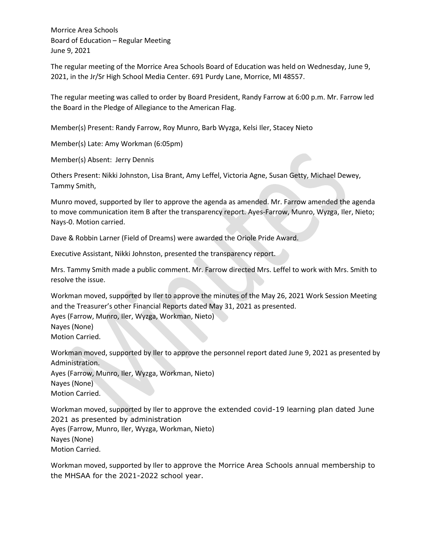Morrice Area Schools Board of Education – Regular Meeting June 9, 2021

The regular meeting of the Morrice Area Schools Board of Education was held on Wednesday, June 9, 2021, in the Jr/Sr High School Media Center. 691 Purdy Lane, Morrice, MI 48557.

The regular meeting was called to order by Board President, Randy Farrow at 6:00 p.m. Mr. Farrow led the Board in the Pledge of Allegiance to the American Flag.

Member(s) Present: Randy Farrow, Roy Munro, Barb Wyzga, Kelsi Iler, Stacey Nieto

Member(s) Late: Amy Workman (6:05pm)

Member(s) Absent: Jerry Dennis

Others Present: Nikki Johnston, Lisa Brant, Amy Leffel, Victoria Agne, Susan Getty, Michael Dewey, Tammy Smith,

Munro moved, supported by Iler to approve the agenda as amended. Mr. Farrow amended the agenda to move communication item B after the transparency report. Ayes-Farrow, Munro, Wyzga, Iler, Nieto; Nays-0. Motion carried.

Dave & Robbin Larner (Field of Dreams) were awarded the Oriole Pride Award.

Executive Assistant, Nikki Johnston, presented the transparency report.

Mrs. Tammy Smith made a public comment. Mr. Farrow directed Mrs. Leffel to work with Mrs. Smith to resolve the issue.

Workman moved, supported by Iler to approve the minutes of the May 26, 2021 Work Session Meeting and the Treasurer's other Financial Reports dated May 31, 2021 as presented. Ayes (Farrow, Munro, Iler, Wyzga, Workman, Nieto)

Nayes (None)

Motion Carried.

Workman moved, supported by Iler to approve the personnel report dated June 9, 2021 as presented by Administration.

Ayes (Farrow, Munro, Iler, Wyzga, Workman, Nieto) Nayes (None)

Motion Carried.

Workman moved, supported by Iler to approve the extended covid-19 learning plan dated June 2021 as presented by administration Ayes (Farrow, Munro, Iler, Wyzga, Workman, Nieto) Nayes (None) Motion Carried.

Workman moved, supported by Iler to approve the Morrice Area Schools annual membership to the MHSAA for the 2021-2022 school year.